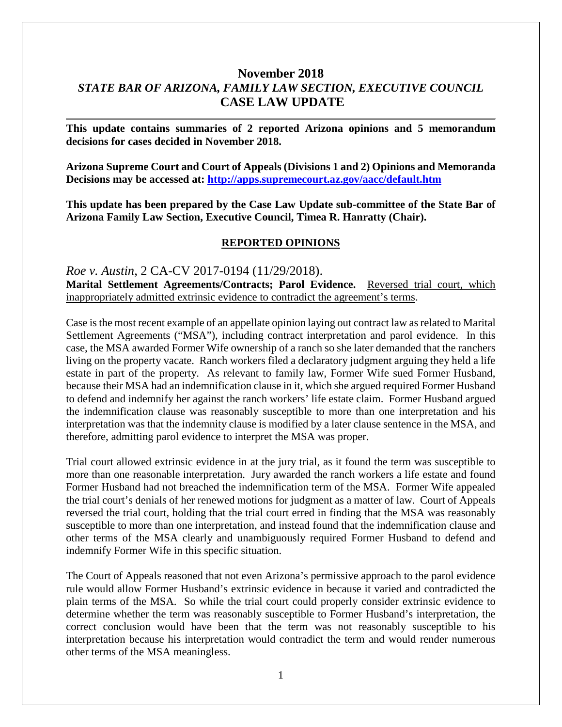# **November 2018** *STATE BAR OF ARIZONA, FAMILY LAW SECTION, EXECUTIVE COUNCIL* **CASE LAW UPDATE**

**This update contains summaries of 2 reported Arizona opinions and 5 memorandum decisions for cases decided in November 2018.**

**Arizona Supreme Court and Court of Appeals (Divisions 1 and 2) Opinions and Memoranda Decisions may be accessed at: <http://apps.supremecourt.az.gov/aacc/default.htm>**

**This update has been prepared by the Case Law Update sub-committee of the State Bar of Arizona Family Law Section, Executive Council, Timea R. Hanratty (Chair).**

#### **REPORTED OPINIONS**

*Roe v. Austin*, 2 CA-CV 2017-0194 (11/29/2018). **Marital Settlement Agreements/Contracts; Parol Evidence.** Reversed trial court, which inappropriately admitted extrinsic evidence to contradict the agreement's terms.

Case is the most recent example of an appellate opinion laying out contract law as related to Marital Settlement Agreements ("MSA"), including contract interpretation and parol evidence. In this case, the MSA awarded Former Wife ownership of a ranch so she later demanded that the ranchers living on the property vacate. Ranch workers filed a declaratory judgment arguing they held a life estate in part of the property. As relevant to family law, Former Wife sued Former Husband, because their MSA had an indemnification clause in it, which she argued required Former Husband to defend and indemnify her against the ranch workers' life estate claim. Former Husband argued the indemnification clause was reasonably susceptible to more than one interpretation and his interpretation was that the indemnity clause is modified by a later clause sentence in the MSA, and therefore, admitting parol evidence to interpret the MSA was proper.

Trial court allowed extrinsic evidence in at the jury trial, as it found the term was susceptible to more than one reasonable interpretation. Jury awarded the ranch workers a life estate and found Former Husband had not breached the indemnification term of the MSA. Former Wife appealed the trial court's denials of her renewed motions for judgment as a matter of law. Court of Appeals reversed the trial court, holding that the trial court erred in finding that the MSA was reasonably susceptible to more than one interpretation, and instead found that the indemnification clause and other terms of the MSA clearly and unambiguously required Former Husband to defend and indemnify Former Wife in this specific situation.

The Court of Appeals reasoned that not even Arizona's permissive approach to the parol evidence rule would allow Former Husband's extrinsic evidence in because it varied and contradicted the plain terms of the MSA. So while the trial court could properly consider extrinsic evidence to determine whether the term was reasonably susceptible to Former Husband's interpretation, the correct conclusion would have been that the term was not reasonably susceptible to his interpretation because his interpretation would contradict the term and would render numerous other terms of the MSA meaningless.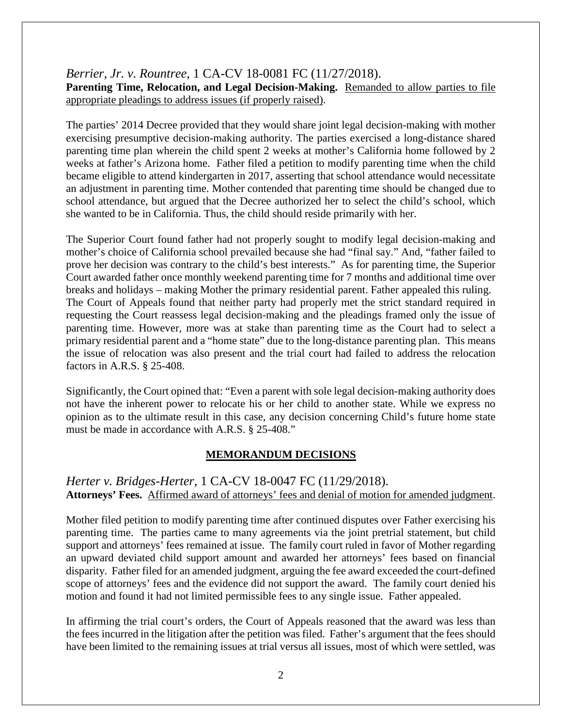#### *Berrier, Jr. v. Rountree*, 1 CA-CV 18-0081 FC (11/27/2018). **Parenting Time, Relocation, and Legal Decision-Making.** Remanded to allow parties to file appropriate pleadings to address issues (if properly raised).

The parties' 2014 Decree provided that they would share joint legal decision-making with mother exercising presumptive decision-making authority. The parties exercised a long-distance shared parenting time plan wherein the child spent 2 weeks at mother's California home followed by 2 weeks at father's Arizona home. Father filed a petition to modify parenting time when the child became eligible to attend kindergarten in 2017, asserting that school attendance would necessitate an adjustment in parenting time. Mother contended that parenting time should be changed due to school attendance, but argued that the Decree authorized her to select the child's school, which she wanted to be in California. Thus, the child should reside primarily with her.

The Superior Court found father had not properly sought to modify legal decision-making and mother's choice of California school prevailed because she had "final say." And, "father failed to prove her decision was contrary to the child's best interests." As for parenting time, the Superior Court awarded father once monthly weekend parenting time for 7 months and additional time over breaks and holidays – making Mother the primary residential parent. Father appealed this ruling. The Court of Appeals found that neither party had properly met the strict standard required in requesting the Court reassess legal decision-making and the pleadings framed only the issue of parenting time. However, more was at stake than parenting time as the Court had to select a primary residential parent and a "home state" due to the long-distance parenting plan. This means the issue of relocation was also present and the trial court had failed to address the relocation factors in A.R.S. § 25-408.

Significantly, the Court opined that: "Even a parent with sole legal decision-making authority does not have the inherent power to relocate his or her child to another state. While we express no opinion as to the ultimate result in this case, any decision concerning Child's future home state must be made in accordance with A.R.S. § 25-408."

#### **MEMORANDUM DECISIONS**

### *Herter v. Bridges-Herter*, 1 CA-CV 18-0047 FC (11/29/2018). **Attorneys' Fees.** Affirmed award of attorneys' fees and denial of motion for amended judgment.

Mother filed petition to modify parenting time after continued disputes over Father exercising his parenting time. The parties came to many agreements via the joint pretrial statement, but child support and attorneys' fees remained at issue. The family court ruled in favor of Mother regarding an upward deviated child support amount and awarded her attorneys' fees based on financial disparity. Father filed for an amended judgment, arguing the fee award exceeded the court-defined scope of attorneys' fees and the evidence did not support the award. The family court denied his motion and found it had not limited permissible fees to any single issue. Father appealed.

In affirming the trial court's orders, the Court of Appeals reasoned that the award was less than the fees incurred in the litigation after the petition was filed. Father's argument that the fees should have been limited to the remaining issues at trial versus all issues, most of which were settled, was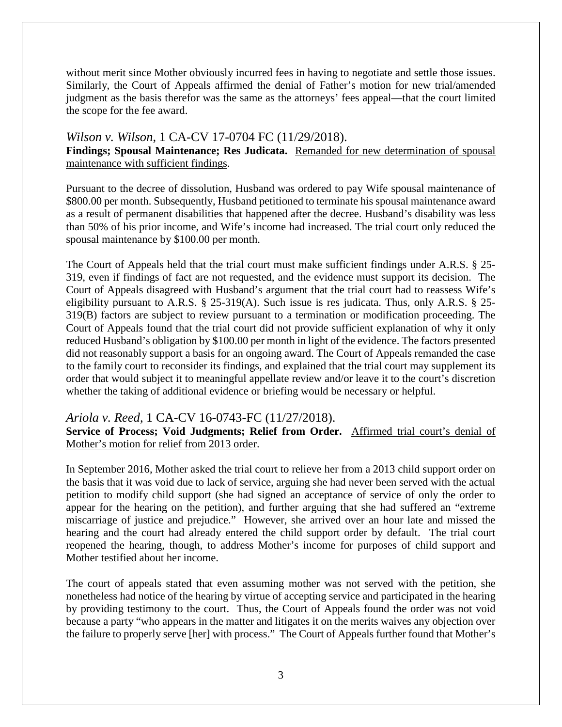without merit since Mother obviously incurred fees in having to negotiate and settle those issues. Similarly, the Court of Appeals affirmed the denial of Father's motion for new trial/amended judgment as the basis therefor was the same as the attorneys' fees appeal—that the court limited the scope for the fee award.

### *Wilson v. Wilson*, 1 CA-CV 17-0704 FC (11/29/2018).

**Findings; Spousal Maintenance; Res Judicata.** Remanded for new determination of spousal maintenance with sufficient findings.

Pursuant to the decree of dissolution, Husband was ordered to pay Wife spousal maintenance of \$800.00 per month. Subsequently, Husband petitioned to terminate his spousal maintenance award as a result of permanent disabilities that happened after the decree. Husband's disability was less than 50% of his prior income, and Wife's income had increased. The trial court only reduced the spousal maintenance by \$100.00 per month.

The Court of Appeals held that the trial court must make sufficient findings under A.R.S. § 25- 319, even if findings of fact are not requested, and the evidence must support its decision. The Court of Appeals disagreed with Husband's argument that the trial court had to reassess Wife's eligibility pursuant to A.R.S. § 25-319(A). Such issue is res judicata. Thus, only A.R.S. § 25- 319(B) factors are subject to review pursuant to a termination or modification proceeding. The Court of Appeals found that the trial court did not provide sufficient explanation of why it only reduced Husband's obligation by \$100.00 per month in light of the evidence. The factors presented did not reasonably support a basis for an ongoing award. The Court of Appeals remanded the case to the family court to reconsider its findings, and explained that the trial court may supplement its order that would subject it to meaningful appellate review and/or leave it to the court's discretion whether the taking of additional evidence or briefing would be necessary or helpful.

### *Ariola v. Reed*, 1 CA-CV 16-0743-FC (11/27/2018).

**Service of Process; Void Judgments; Relief from Order.** Affirmed trial court's denial of Mother's motion for relief from 2013 order.

In September 2016, Mother asked the trial court to relieve her from a 2013 child support order on the basis that it was void due to lack of service, arguing she had never been served with the actual petition to modify child support (she had signed an acceptance of service of only the order to appear for the hearing on the petition), and further arguing that she had suffered an "extreme miscarriage of justice and prejudice." However, she arrived over an hour late and missed the hearing and the court had already entered the child support order by default. The trial court reopened the hearing, though, to address Mother's income for purposes of child support and Mother testified about her income.

The court of appeals stated that even assuming mother was not served with the petition, she nonetheless had notice of the hearing by virtue of accepting service and participated in the hearing by providing testimony to the court. Thus, the Court of Appeals found the order was not void because a party "who appears in the matter and litigates it on the merits waives any objection over the failure to properly serve [her] with process." The Court of Appeals further found that Mother's